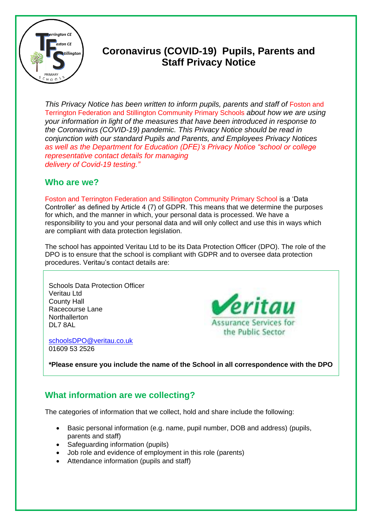

# **Coronavirus (COVID-19) Pupils, Parents and Staff Privacy Notice**

*This Privacy Notice has been written to inform pupils, parents and staff of Foston and* Terrington Federation and Stillington Community Primary Schools *about how we are using your information in light of the measures that have been introduced in response to the Coronavirus (COVID-19) pandemic. This Privacy Notice should be read in conjunction with our standard Pupils and Parents, and Employees Privacy Notices as well as the Department for Education (DFE)'s Privacy Notice "school or college representative contact details for managing delivery of Covid-19 testing."*

## **Who are we?**

Foston and Terrington Federation and Stillington Community Primary School is a 'Data Controller' as defined by Article 4 (7) of GDPR. This means that we determine the purposes for which, and the manner in which, your personal data is processed. We have a responsibility to you and your personal data and will only collect and use this in ways which are compliant with data protection legislation.

The school has appointed Veritau Ltd to be its Data Protection Officer (DPO). The role of the DPO is to ensure that the school is compliant with GDPR and to oversee data protection procedures. Veritau's contact details are:

Schools Data Protection Officer Veritau Ltd County Hall Racecourse Lane **Northallerton** DL7 8AL

[schoolsDPO@veritau.co.uk](mailto:schoolsDPO@veritau.co.uk) 01609 53 2526



**\*Please ensure you include the name of the School in all correspondence with the DPO** 

## **What information are we collecting?**

The categories of information that we collect, hold and share include the following:

- Basic personal information (e.g. name, pupil number, DOB and address) (pupils, parents and staff)
- Safeguarding information (pupils)
- Job role and evidence of employment in this role (parents)
- Attendance information (pupils and staff)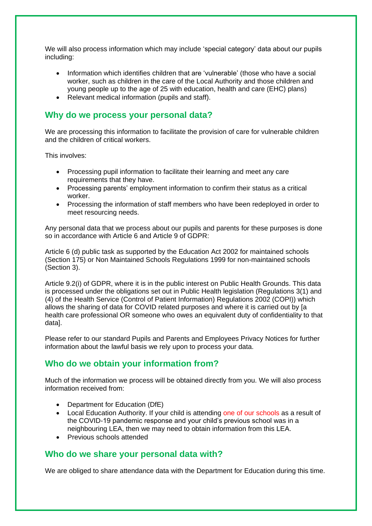We will also process information which may include 'special category' data about our pupils including:

- Information which identifies children that are 'vulnerable' (those who have a social worker, such as children in the care of the Local Authority and those children and young people up to the age of 25 with education, health and care (EHC) plans)
- Relevant medical information (pupils and staff).

#### **Why do we process your personal data?**

We are processing this information to facilitate the provision of care for vulnerable children and the children of critical workers.

This involves:

- Processing pupil information to facilitate their learning and meet any care requirements that they have.
- Processing parents' employment information to confirm their status as a critical worker.
- Processing the information of staff members who have been redeployed in order to meet resourcing needs.

Any personal data that we process about our pupils and parents for these purposes is done so in accordance with Article 6 and Article 9 of GDPR:

Article 6 (d) public task as supported by the Education Act 2002 for maintained schools (Section 175) or Non Maintained Schools Regulations 1999 for non-maintained schools (Section 3).

Article 9.2(i) of GDPR, where it is in the public interest on Public Health Grounds. This data is processed under the obligations set out in Public Health legislation (Regulations 3(1) and (4) of the Health Service (Control of Patient Information) Regulations 2002 (COPI)) which allows the sharing of data for COVID related purposes and where it is carried out by [a health care professional OR someone who owes an equivalent duty of confidentiality to that data].

Please refer to our standard Pupils and Parents and Employees Privacy Notices for further information about the lawful basis we rely upon to process your data.

## **Who do we obtain your information from?**

Much of the information we process will be obtained directly from you. We will also process information received from:

- Department for Education (DfE)
- Local Education Authority. If your child is attending one of our schools as a result of the COVID-19 pandemic response and your child's previous school was in a neighbouring LEA, then we may need to obtain information from this LEA.
- Previous schools attended

#### **Who do we share your personal data with?**

We are obliged to share attendance data with the Department for Education during this time.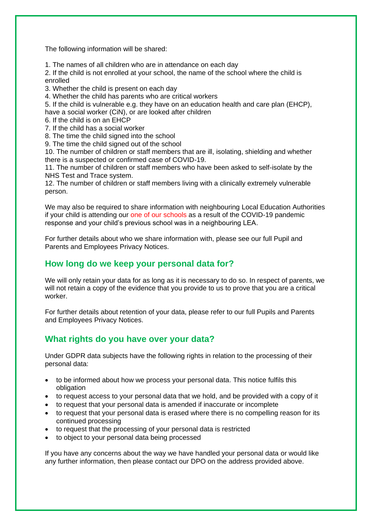The following information will be shared:

1. The names of all children who are in attendance on each day

2. If the child is not enrolled at your school, the name of the school where the child is enrolled

3. Whether the child is present on each day

4. Whether the child has parents who are critical workers

5. If the child is vulnerable e.g. they have on an education health and care plan (EHCP), have a social worker (CiN), or are looked after children

6. If the child is on an EHCP

7. If the child has a social worker

8. The time the child signed into the school

9. The time the child signed out of the school

10. The number of children or staff members that are ill, isolating, shielding and whether there is a suspected or confirmed case of COVID-19.

11. The number of children or staff members who have been asked to self-isolate by the NHS Test and Trace system.

12. The number of children or staff members living with a clinically extremely vulnerable person.

We may also be required to share information with neighbouring Local Education Authorities if your child is attending our one of our schools as a result of the COVID-19 pandemic response and your child's previous school was in a neighbouring LEA.

For further details about who we share information with, please see our full Pupil and Parents and Employees Privacy Notices.

## **How long do we keep your personal data for?**

We will only retain your data for as long as it is necessary to do so. In respect of parents, we will not retain a copy of the evidence that you provide to us to prove that you are a critical worker.

For further details about retention of your data, please refer to our full Pupils and Parents and Employees Privacy Notices.

## **What rights do you have over your data?**

Under GDPR data subjects have the following rights in relation to the processing of their personal data:

- to be informed about how we process your personal data. This notice fulfils this obligation
- to request access to your personal data that we hold, and be provided with a copy of it
- to request that your personal data is amended if inaccurate or incomplete
- to request that your personal data is erased where there is no compelling reason for its continued processing
- to request that the processing of your personal data is restricted
- to object to your personal data being processed

If you have any concerns about the way we have handled your personal data or would like any further information, then please contact our DPO on the address provided above.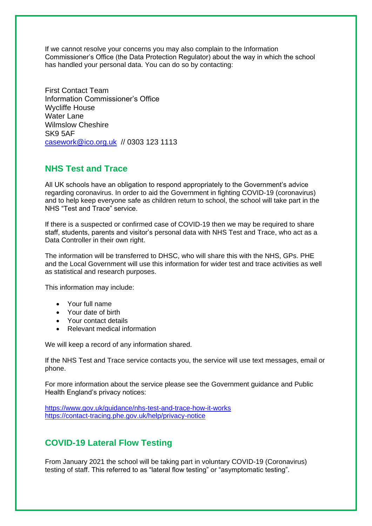If we cannot resolve your concerns you may also complain to the Information Commissioner's Office (the Data Protection Regulator) about the way in which the school has handled your personal data. You can do so by contacting:

First Contact Team Information Commissioner's Office Wycliffe House Water Lane Wilmslow Cheshire SK9 5AF [casework@ico.org.uk](mailto:casework@ico.org.uk) // 0303 123 1113

### **NHS Test and Trace**

All UK schools have an obligation to respond appropriately to the Government's advice regarding coronavirus. In order to aid the Government in fighting COVID-19 (coronavirus) and to help keep everyone safe as children return to school, the school will take part in the NHS "Test and Trace" service.

If there is a suspected or confirmed case of COVID-19 then we may be required to share staff, students, parents and visitor's personal data with NHS Test and Trace, who act as a Data Controller in their own right.

The information will be transferred to DHSC, who will share this with the NHS, GPs. PHE and the Local Government will use this information for wider test and trace activities as well as statistical and research purposes.

This information may include:

- Your full name
- Your date of birth
- Your contact details
- Relevant medical information

We will keep a record of any information shared.

If the NHS Test and Trace service contacts you, the service will use text messages, email or phone.

For more information about the service please see the Government guidance and Public Health England's privacy notices:

<https://www.gov.uk/guidance/nhs-test-and-trace-how-it-works> <https://contact-tracing.phe.gov.uk/help/privacy-notice>

## **COVID-19 Lateral Flow Testing**

From January 2021 the school will be taking part in voluntary COVID-19 (Coronavirus) testing of staff. This referred to as "lateral flow testing" or "asymptomatic testing".